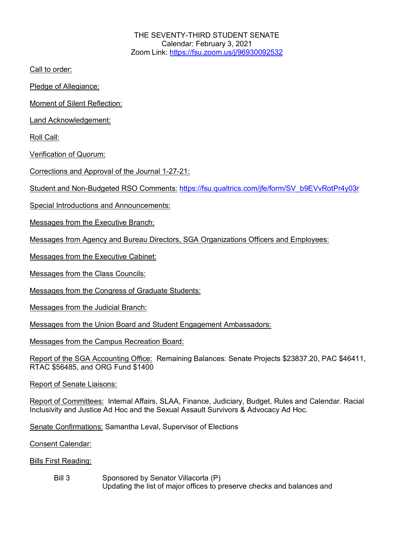THE SEVENTY-THIRD STUDENT SENATE Calendar: February 3, 2021 Zoom Link: https://fsu.zoom.us/j/96930092532

Call to order:

Pledge of Allegiance:

Moment of Silent Reflection:

Land Acknowledgement:

Roll Call:

Verification of Quorum:

Corrections and Approval of the Journal 1-27-21:

Student and Non-Budgeted RSO Comments: https://fsu.qualtrics.com/jfe/form/SV\_b9EVvRotPr4y03r

Special Introductions and Announcements:

Messages from the Executive Branch:

Messages from Agency and Bureau Directors, SGA Organizations Officers and Employees:

Messages from the Executive Cabinet:

Messages from the Class Councils:

Messages from the Congress of Graduate Students:

Messages from the Judicial Branch:

Messages from the Union Board and Student Engagement Ambassadors:

Messages from the Campus Recreation Board:

Report of the SGA Accounting Office: Remaining Balances: Senate Projects \$23837.20, PAC \$46411, RTAC \$56485, and ORG Fund \$1400

Report of Senate Liaisons:

Report of Committees: Internal Affairs, SLAA, Finance, Judiciary, Budget, Rules and Calendar. Racial Inclusivity and Justice Ad Hoc and the Sexual Assault Survivors & Advocacy Ad Hoc.

Senate Confirmations: Samantha Leval, Supervisor of Elections

Consent Calendar:

Bills First Reading:

Bill 3 Sponsored by Senator Villacorta (P) Updating the list of major offices to preserve checks and balances and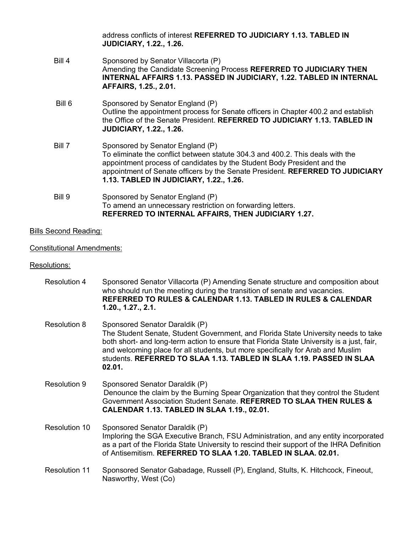|        | address conflicts of interest REFERRED TO JUDICIARY 1.13, TABLED IN<br><b>JUDICIARY, 1.22., 1.26.</b>                                                                                                                                                                                                                     |
|--------|---------------------------------------------------------------------------------------------------------------------------------------------------------------------------------------------------------------------------------------------------------------------------------------------------------------------------|
| Bill 4 | Sponsored by Senator Villacorta (P)<br>Amending the Candidate Screening Process REFERRED TO JUDICIARY THEN<br><b>INTERNAL AFFAIRS 1.13. PASSED IN JUDICIARY, 1.22. TABLED IN INTERNAL</b><br>AFFAIRS, 1.25., 2.01.                                                                                                        |
| Bill 6 | Sponsored by Senator England (P)<br>Outline the appointment process for Senate officers in Chapter 400.2 and establish<br>the Office of the Senate President. REFERRED TO JUDICIARY 1.13. TABLED IN<br><b>JUDICIARY, 1.22., 1.26.</b>                                                                                     |
| Bill 7 | Sponsored by Senator England (P)<br>To eliminate the conflict between statute 304.3 and 400.2. This deals with the<br>appointment process of candidates by the Student Body President and the<br>appointment of Senate officers by the Senate President. REFERRED TO JUDICIARY<br>1.13. TABLED IN JUDICIARY, 1.22., 1.26. |
| Bill 9 | Sponsored by Senator England (P)<br>To amend an unnecessary restriction on forwarding letters.<br>REFERRED TO INTERNAL AFFAIRS, THEN JUDICIARY 1.27.                                                                                                                                                                      |

## Bills Second Reading:

## Constitutional Amendments:

## Resolutions:

- Resolution 4 Sponsored Senator Villacorta (P) Amending Senate structure and composition about who should run the meeting during the transition of senate and vacancies. **REFERRED TO RULES & CALENDAR 1.13. TABLED IN RULES & CALENDAR 1.20., 1.27., 2.1.**
- Resolution 8 Sponsored Senator Daraldik (P) The Student Senate, Student Government, and Florida State University needs to take both short- and long-term action to ensure that Florida State University is a just, fair, and welcoming place for all students, but more specifically for Arab and Muslim students. **REFERRED TO SLAA 1.13. TABLED IN SLAA 1.19. PASSED IN SLAA 02.01.**
- Resolution 9 Sponsored Senator Daraldik (P) Denounce the claim by the Burning Spear Organization that they control the Student Government Association Student Senate. **REFERRED TO SLAA THEN RULES & CALENDAR 1.13. TABLED IN SLAA 1.19., 02.01.**
- Resolution 10 Sponsored Senator Daraldik (P) Imploring the SGA Executive Branch, FSU Administration, and any entity incorporated as a part of the Florida State University to rescind their support of the IHRA Definition of Antisemitism. **REFERRED TO SLAA 1.20. TABLED IN SLAA. 02.01.**
- Resolution 11 Sponsored Senator Gabadage, Russell (P), England, Stults, K. Hitchcock, Fineout, Nasworthy, West (Co)